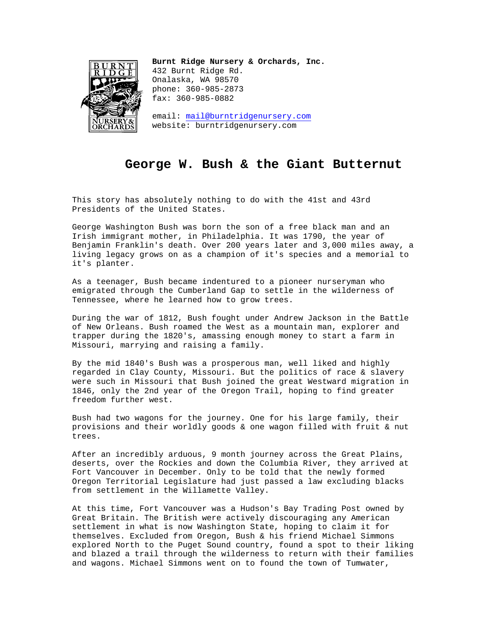

**Burnt Ridge Nursery & Orchards, Inc.**  432 Burnt Ridge Rd. Onalaska, WA 98570 phone: 360-985-2873 fax: 360-985-0882

email: mail@burntridgenursery.com website: burntridgenursery.com

## **George W. Bush & the Giant Butternut**

This story has absolutely nothing to do with the 41st and 43rd Presidents of the United States.

George Washington Bush was born the son of a free black man and an Irish immigrant mother, in Philadelphia. It was 1790, the year of Benjamin Franklin's death. Over 200 years later and 3,000 miles away, a living legacy grows on as a champion of it's species and a memorial to it's planter.

As a teenager, Bush became indentured to a pioneer nurseryman who emigrated through the Cumberland Gap to settle in the wilderness of Tennessee, where he learned how to grow trees.

During the war of 1812, Bush fought under Andrew Jackson in the Battle of New Orleans. Bush roamed the West as a mountain man, explorer and trapper during the 1820's, amassing enough money to start a farm in Missouri, marrying and raising a family.

By the mid 1840's Bush was a prosperous man, well liked and highly regarded in Clay County, Missouri. But the politics of race & slavery were such in Missouri that Bush joined the great Westward migration in 1846, only the 2nd year of the Oregon Trail, hoping to find greater freedom further west.

Bush had two wagons for the journey. One for his large family, their provisions and their worldly goods & one wagon filled with fruit & nut trees.

After an incredibly arduous, 9 month journey across the Great Plains, deserts, over the Rockies and down the Columbia River, they arrived at Fort Vancouver in December. Only to be told that the newly formed Oregon Territorial Legislature had just passed a law excluding blacks from settlement in the Willamette Valley.

At this time, Fort Vancouver was a Hudson's Bay Trading Post owned by Great Britain. The British were actively discouraging any American settlement in what is now Washington State, hoping to claim it for themselves. Excluded from Oregon, Bush & his friend Michael Simmons explored North to the Puget Sound country, found a spot to their liking and blazed a trail through the wilderness to return with their families and wagons. Michael Simmons went on to found the town of Tumwater,